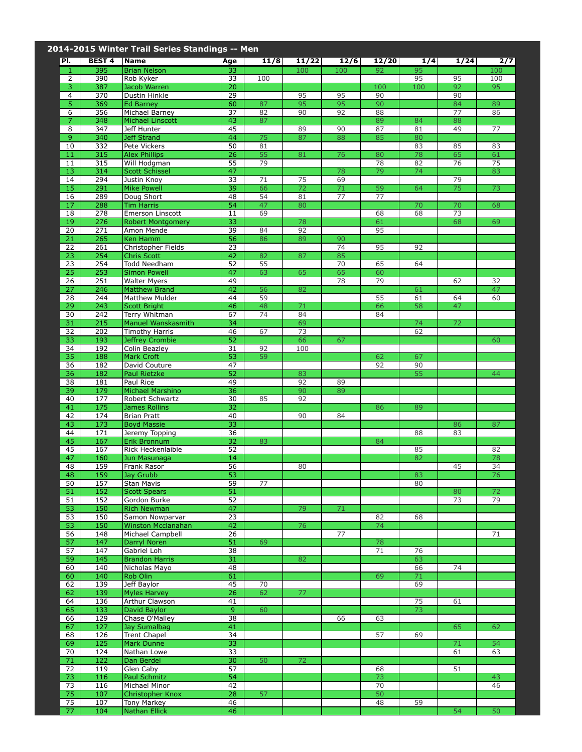|                     |                         | 2014-2015 Winter Trail Series Standings -- Men |                 |          |          |          |           |          |          |          |
|---------------------|-------------------------|------------------------------------------------|-----------------|----------|----------|----------|-----------|----------|----------|----------|
| PI.                 | <b>BEST 4</b>           | <b>Name</b>                                    | Age             | 11/8     | 11/22    | 12/6     | 12/20     | 1/4      | 1/24     | 2/7      |
| $\mathbf{1}$        | 395                     | <b>Brian Nelson</b>                            | 33              |          | 100      | 100      | 92        | 95       |          | 100      |
| 2                   | 390                     | Rob Kyker                                      | 33              | 100      |          |          |           | 95       | 95       | 100      |
| $\overline{3}$<br>4 | 387<br>370              | Jacob Warren<br>Dustin Hinkle                  | 20<br>29        |          | 95       | 95       | 100<br>90 | 100      | 92<br>90 | 95       |
| $\overline{5}$      | 369                     | <b>Ed Barney</b>                               | 60              | 87       | 95       | 95       | 90        |          | 84       | 89       |
| 6                   | 356                     | Michael Barney                                 | $\overline{37}$ | 82       | 90       | 92       | 88        |          | 77       | 86       |
| $\overline{7}$      | 348                     | <b>Michael Linscott</b>                        | 43              | 87       |          |          | 89        | 84       | 88       |          |
| 8                   | 347                     | Jeff Hunter                                    | 45              |          | 89       | 90       | 87        | 81       | 49       | 77       |
| $\overline{9}$      | 340                     | Jeff Strand                                    | 44              | 75       | 87       | 88       | 85        | 80       |          |          |
| 10<br>11            | 332<br>315              | Pete Vickers<br><b>Alex Phillips</b>           | 50<br>26        | 81<br>55 | 81       | 76       | 80        | 83<br>78 | 85<br>65 | 83<br>61 |
| 11                  | 315                     | Will Hodgman                                   | 55              | 79       |          |          | 78        | 82       | 76       | 75       |
| 13                  | 314                     | <b>Scott Schissel</b>                          | 47              |          |          | 78       | 79        | 74       |          | 83       |
| 14                  | 294                     | Justin Knoy                                    | 33              | 71       | 75       | 69       |           |          | 79       |          |
| 15                  | 291                     | <b>Mike Powell</b>                             | 39              | 66       | 72       | 71       | 59        | 64       | 75       | 73       |
| 16                  | 289                     | Doug Short                                     | 48<br>54        | 54<br>47 | 81       | 77       | 77        |          |          |          |
| 17<br>18            | 288<br>278              | <b>Tim Harris</b><br>Emerson Linscott          | 11              | 69       | 80       |          | 68        | 70<br>68 | 70<br>73 | 68       |
| 19                  | 276                     | <b>Robert Montgomery</b>                       | 33              |          | 78       |          | 61        |          | 68       | 69       |
| 20                  | 271                     | Amon Mende                                     | 39              | 84       | 92       |          | 95        |          |          |          |
| $\overline{21}$     | 265                     | Ken Hamm                                       | 56              | 86       | 89       | 90       |           |          |          |          |
| 22                  | 261                     | Christopher Fields                             | 23              |          |          | 74       | 95        | 92       |          |          |
| 23                  | 254                     | <b>Chris Scott</b>                             | 42              | 82       | 87       | 85       |           |          |          |          |
| 23                  | 254                     | Todd Needham                                   | 52              | 55<br>63 | 65       | 70       | 65        | 64       |          |          |
| 25<br>26            | 253<br>251              | <b>Simon Powell</b><br><b>Walter Myers</b>     | 47<br>49        |          |          | 65<br>78 | 60<br>79  |          | 62       | 32       |
| $\overline{27}$     | 246                     | <b>Matthew Brand</b>                           | 42              | 56       | 82       |          |           | 61       |          | 47       |
| 28                  | 244                     | Matthew Mulder                                 | 44              | 59       |          |          | 55        | 61       | 64       | 60       |
| 29                  | 243                     | <b>Scott Bright</b>                            | 46              | 48       | 71       |          | 66        | 58       | 47       |          |
| 30                  | 242                     | Terry Whitman                                  | 67              | 74       | 84       |          | 84        |          |          |          |
| 31                  | 215                     | Manuel Wanskasmith                             | 34              |          | 69       |          |           | 74       | 72       |          |
| 32<br>33            | 202<br>193              | <b>Timothy Harris</b>                          | 46<br>52        | 67       | 73<br>66 | 67       |           | 62       |          | 60       |
| 34                  | 192                     | Jeffrey Crombie<br>Colin Beazley               | 31              | 92       | 100      |          |           |          |          |          |
| 35                  | 188                     | <b>Mark Croft</b>                              | 53              | 59       |          |          | 62        | 67       |          |          |
| 36                  | 182                     | David Couture                                  | 47              |          |          |          | 92        | 90       |          |          |
| 36                  | 182                     | Paul Rietzke                                   | 52              |          | 83       |          |           | 55       |          | 44       |
| 38                  | 181                     | Paul Rice                                      | 49              |          | 92       | 89       |           |          |          |          |
| 39                  | 179                     | Michael Marshino                               | 36              |          | 90       | 89       |           |          |          |          |
| 40<br>41            | $\overline{177}$<br>175 | Robert Schwartz<br><b>James Rollins</b>        | 30<br>32        | 85       | 92       |          | 86        | 89       |          |          |
| 42                  | 174                     | <b>Brian Pratt</b>                             | 40              |          | 90       | 84       |           |          |          |          |
| 43                  | 173                     | <b>Boyd Massie</b>                             | 33              |          |          |          |           |          | 86       | 87       |
| 44                  | 171                     | Jeremy Topping                                 | 36              |          |          |          |           | 88       | 83       |          |
| 45                  | 167                     | Erik Bronnum                                   | 32              | 83       |          |          | 84        |          |          |          |
| 45                  | 167                     | Rick Heckenlaible                              | 52              |          |          |          |           | 85       |          | 82       |
| 47<br>48            | 160<br>159              | Jun Masunaga<br>Frank Rasor                    | 14<br>56        |          | 80       |          |           | 82       | 45       | 78<br>34 |
| 48                  | 159                     | Jay Grubb                                      | 53              |          |          |          |           | 83       |          | 76       |
| 50                  | 157                     | Stan Mavis                                     | 59              | 77       |          |          |           | 80       |          |          |
| 51                  | 152                     | <b>Scott Spears</b>                            | 51              |          |          |          |           |          | 80       | 72       |
| 51                  | 152                     | Gordon Burke                                   | 52              |          |          |          |           |          | 73       | 79       |
| 53<br>53            | 150                     | <b>Rich Newman</b><br>Samon Nowparvar          | 47<br>23        |          | 79       | 71       |           |          |          |          |
| 53                  | 150<br>150              | Winston Mcclanahan                             | 42              |          | 76       |          | 82<br>74  | 68       |          |          |
| $\overline{56}$     | 148                     | Michael Campbell                               | 26              |          |          | 77       |           |          |          | 71       |
| 57                  | 147                     | <b>Darryl Noren</b>                            | 51              | 69       |          |          | 78        |          |          |          |
| 57                  | 147                     | Gabriel Loh                                    | 38              |          |          |          | 71        | 76       |          |          |
| 59                  | 145                     | <b>Brandon Harris</b>                          | 31              |          | 82       |          |           | 63       |          |          |
| 60                  | 140                     | Nicholas Mayo                                  | 48              |          |          |          |           | 66       | 74       |          |
| 60<br>62            | 140<br>139              | Rob Olin<br>Jeff Baylor                        | 61<br>45        | 70       |          |          | 69        | 71<br>69 |          |          |
| 62                  | 139                     | <b>Myles Harvey</b>                            | 26              | 62       | 77       |          |           |          |          |          |
| 64                  | 136                     | Arthur Clawson                                 | 41              |          |          |          |           | 75       | 61       |          |
| 65                  | 133                     | David Baylor                                   | 9               | 60       |          |          |           | 73       |          |          |
| 66                  | 129                     | Chase O'Malley                                 | 38              |          |          | 66       | 63        |          |          |          |
| 67                  | 127                     | Jay Sumalbag                                   | 41              |          |          |          |           |          | 65       | 62       |
| 68<br>69            | 126<br>125              | <b>Trent Chapel</b><br>Mark Dunne              | 34<br>33        |          |          |          | 57        | 69       |          |          |
| 70                  | 124                     | Nathan Lowe                                    | 33              |          |          |          |           |          | 71<br>61 | 54<br>63 |
| 71                  | 122                     | Dan Berdel                                     | 30              | 50       | 72       |          |           |          |          |          |
| 72                  | 119                     | Glen Caby                                      | 57              |          |          |          | 68        |          | 51       |          |
| 73                  | 116                     | <b>Paul Schmitz</b>                            | 54              |          |          |          | 73        |          |          | 43       |
| 73                  | 116                     | Michael Minor                                  | 42              |          |          |          | 70        |          |          | 46       |
| 75                  | 107                     | <b>Christopher Knox</b>                        | 28              | 57       |          |          | 50        |          |          |          |
| 75<br>77            | 107<br>104              | Tony Markey<br><b>Nathan Ellick</b>            | 46<br>46        |          |          |          | 48        | 59       | 54       | 50       |
|                     |                         |                                                |                 |          |          |          |           |          |          |          |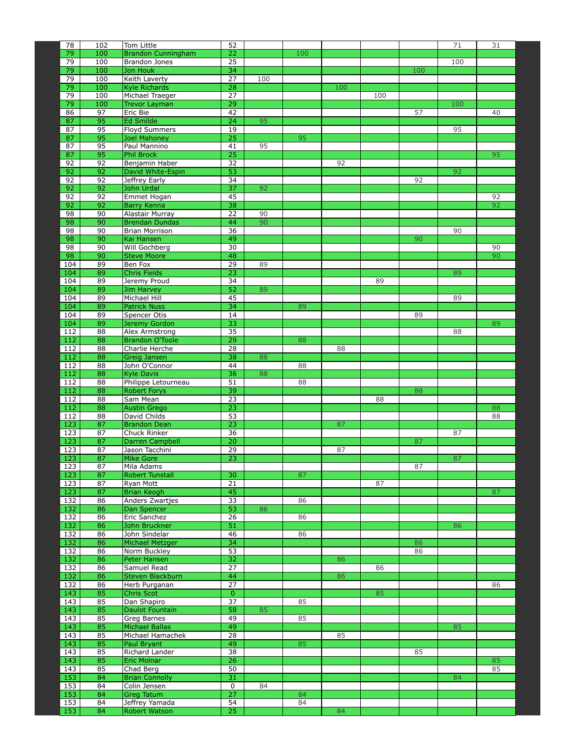| 78               | 102        | Tom Little                                 | 52                    |     |          |     |     |     | 71  | 31 |
|------------------|------------|--------------------------------------------|-----------------------|-----|----------|-----|-----|-----|-----|----|
| 79<br>79         | 100<br>100 | <b>Brandon Cunningham</b><br>Brandon Jones | 22<br>25              |     | 100      |     |     |     | 100 |    |
| 79               | 100        | Jon Houk                                   | 34                    |     |          |     |     | 100 |     |    |
| 79               | 100        | Keith Laverty                              | 27                    | 100 |          |     |     |     |     |    |
| 79               | 100        | <b>Kyle Richards</b>                       | 28                    |     |          | 100 |     |     |     |    |
| 79               | 100        | Michael Traeger                            | $\overline{27}$       |     |          |     | 100 |     |     |    |
| 79<br>86         | 100<br>97  | <b>Trevor Layman</b><br>Eric Bie           | 29<br>42              |     |          |     |     | 57  | 100 | 40 |
| 87               | 95         | Ed Smilde                                  | 24                    | 95  |          |     |     |     |     |    |
| 87               | 95         | <b>Floyd Summers</b>                       | 19                    |     |          |     |     |     | 95  |    |
| 87               | 95         | <b>Joel Mahoney</b>                        | 25                    |     | 95       |     |     |     |     |    |
| 87               | 95         | Paul Mannino                               | 41                    | 95  |          |     |     |     |     |    |
| 87<br>92         | 95<br>92   | <b>Phil Brock</b><br>Benjamin Haber        | $\overline{25}$<br>32 |     |          | 92  |     |     |     | 95 |
| 92               | 92         | David White-Espin                          | 53                    |     |          |     |     |     | 92  |    |
| 92               | 92         | Jeffrey Early                              | 34                    |     |          |     |     | 92  |     |    |
| 92               | 92         | John Urdal                                 | 37                    | 92  |          |     |     |     |     |    |
| 92               | 92         | Emmet Hogan                                | 45                    |     |          |     |     |     |     | 92 |
| 92<br>98         | 92<br>90   | Barry Kenna<br>Alastair Murray             | 38<br>22              | 90  |          |     |     |     |     | 92 |
| 98               | 90         | <b>Brendan Dundas</b>                      | 44                    | 90  |          |     |     |     |     |    |
| $\overline{98}$  | 90         | <b>Brian Morrison</b>                      | 36                    |     |          |     |     |     | 90  |    |
| 98               | 90         | Kai Hansen                                 | 49                    |     |          |     |     | 90  |     |    |
| 98               | 90         | Will Gochberg                              | 30                    |     |          |     |     |     |     | 90 |
| 98<br>104        | 90<br>89   | <b>Steve Moore</b><br>Ben Fox              | 48<br>29              | 89  |          |     |     |     |     | 90 |
| 104              | 89         | <b>Chris Fields</b>                        | 23                    |     |          |     |     |     | 89  |    |
| 104              | 89         | Jeremy Proud                               | 34                    |     |          |     | 89  |     |     |    |
| 104              | 89         | Jim Harvey                                 | 52                    | 89  |          |     |     |     |     |    |
| 104              | 89         | Michael Hill                               | 45                    |     |          |     |     |     | 89  |    |
| 104<br>104       | 89<br>89   | <b>Patrick Nuss</b><br>Spencer Otis        | 34<br>14              |     | 89       |     |     | 89  |     |    |
| 104              | 89         | Jeremy Gordon                              | 33                    |     |          |     |     |     |     | 89 |
| 112              | 88         | Alex Armstrong                             | 35                    |     |          |     |     |     | 88  |    |
| 112              | 88         | <b>Brandon O'Toole</b>                     | 29                    |     | 88       |     |     |     |     |    |
| 112              | 88         | Charlie Herche                             | 28                    |     |          | 88  |     |     |     |    |
| 112<br>112       | 88<br>88   | Greig Jansen<br>John O'Connor              | 38<br>44              | 88  | 88       |     |     |     |     |    |
| 112              | 88         | <b>Kyle Davis</b>                          | 36                    | 88  |          |     |     |     |     |    |
| 112              | 88         | Philippe Letourneau                        | 51                    |     | 88       |     |     |     |     |    |
| 112              | 88         | <b>Robert Forys</b>                        | 39                    |     |          |     |     | 88  |     |    |
| 112<br>112       | 88<br>88   | Sam Mean                                   | $\overline{23}$<br>23 |     |          |     | 88  |     |     | 88 |
| 112              | 88         | <b>Austin Grego</b><br>David Childs        | 53                    |     |          |     |     |     |     | 88 |
| 123              | 87         | <b>Brandon Dean</b>                        | 23                    |     |          | 87  |     |     |     |    |
| 123              | 87         | Chuck Rinker                               | 36                    |     |          |     |     |     | 87  |    |
| 123              | 87         | Darren Campbell                            | 20                    |     |          |     |     | 87  |     |    |
| 123<br>123       | 87<br>87   | Jason Tacchini<br><b>Mike Gore</b>         | 29<br>23              |     |          | 87  |     |     | 87  |    |
| 123              | 87         | Mila Adams                                 |                       |     |          |     |     | 87  |     |    |
| 123              | 87         | <b>Robert Tunstall</b>                     | 30                    |     | 87       |     |     |     |     |    |
| 123              | 87         | Ryan Mott                                  | $\overline{21}$       |     |          |     | 87  |     |     |    |
| 123              | 87         | <b>Brian Keogh</b>                         | 45                    |     |          |     |     |     |     | 87 |
| 132<br>132       | 86<br>86   | Anders Zwartjes<br>Dan Spencer             | 33<br>53              | 86  | 86       |     |     |     |     |    |
| 132              | 86         | Eric Sanchez                               | 26                    |     | 86       |     |     |     |     |    |
| 132              | 86         | John Bruckner                              | 51                    |     |          |     |     |     | 86  |    |
| 132              | 86         | John Sindelar                              | 46                    |     | 86       |     |     |     |     |    |
| 132<br>132       | 86<br>86   | Michael Metzger<br>Norm Buckley            | 34<br>53              |     |          |     |     | 86  |     |    |
| 132              | 86         | Peter Hansen                               | 32                    |     |          | 86  |     | 86  |     |    |
| 132              | 86         | Samuel Read                                | $\overline{27}$       |     |          |     | 86  |     |     |    |
| 132              | 86         | Steven Blackburn                           | 44                    |     |          | 86  |     |     |     |    |
| $\overline{132}$ | 86         | Herb Purganan                              | 27                    |     |          |     |     |     |     | 86 |
| 143<br>143       | 85<br>85   | Chris Scot<br>Dan Shapiro                  | $\mathbf{0}$<br>37    |     | 85       |     | 85  |     |     |    |
| 143              | 85         | Daulot Fountain                            | 58                    | 85  |          |     |     |     |     |    |
| 143              | 85         | Greg Barnes                                | 49                    |     | 85       |     |     |     |     |    |
| 143              | 85         | Michael Ballas                             | 49                    |     |          |     |     |     | 85  |    |
| 143              | 85         | Michael Hamachek                           | $\overline{28}$       |     |          | 85  |     |     |     |    |
| 143<br>143       | 85<br>85   | Paul Bryant<br>Richard Lander              | 49<br>38              |     | 85       |     |     | 85  |     |    |
| 143              | 85         | <b>Eric Molnar</b>                         | 26                    |     |          |     |     |     |     | 85 |
| 143              | 85         | Chad Berg                                  | 50                    |     |          |     |     |     |     | 85 |
| 153              | 84         | <b>Brian Connolly</b>                      | 31                    |     |          |     |     |     | 84  |    |
| 153              | 84         | Colin Jensen                               | 0                     | 84  |          |     |     |     |     |    |
| 153<br>153       | 84<br>84   | Greg Tatum<br>Jeffrey Yamada               | 27<br>54              |     | 84<br>84 |     |     |     |     |    |
| 153              | 84         | <b>Robert Watson</b>                       | 25                    |     |          | 84  |     |     |     |    |
|                  |            |                                            |                       |     |          |     |     |     |     |    |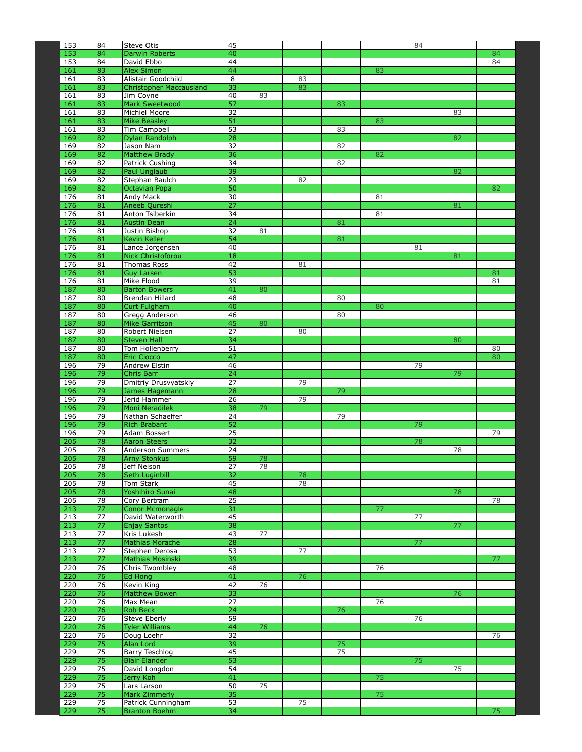| 153        | 84                    | Steve Otis                                    | 45                    |    |    |    |    | 84 |    |          |
|------------|-----------------------|-----------------------------------------------|-----------------------|----|----|----|----|----|----|----------|
| 153<br>153 | 84<br>84              | Darwin Roberts<br>David Ebbo                  | 40<br>44              |    |    |    |    |    |    | 84<br>84 |
| 161        | 83                    | <b>Alex Simon</b>                             | 44                    |    |    |    | 83 |    |    |          |
| 161        | 83                    | Alistair Goodchild                            | 8                     |    | 83 |    |    |    |    |          |
| 161        | 83                    | <b>Christopher Maccausland</b>                | 33                    |    | 83 |    |    |    |    |          |
| 161<br>161 | 83<br>83              | Jim Coyne<br><b>Mark Sweetwood</b>            | 40<br>57              | 83 |    | 83 |    |    |    |          |
| 161        | 83                    | Michiel Moore                                 | 32                    |    |    |    |    |    | 83 |          |
| 161        | 83                    | <b>Mike Beasley</b>                           | 51                    |    |    |    | 83 |    |    |          |
| 161        | 83                    | Tim Campbell                                  | 53                    |    |    | 83 |    |    |    |          |
| 169<br>169 | 82<br>82              | Dylan Randolph<br>Jason Nam                   | 28<br>32              |    |    | 82 |    |    | 82 |          |
| 169        | 82                    | <b>Matthew Brady</b>                          | 36                    |    |    |    | 82 |    |    |          |
| 169        | 82                    | Patrick Cushing                               | 34                    |    |    | 82 |    |    |    |          |
| 169        | 82                    | <b>Paul Unglaub</b>                           | 39                    |    |    |    |    |    | 82 |          |
| 169<br>169 | 82<br>82              | Stephan Baulch<br>Octavian Popa               | 23<br>50              |    | 82 |    |    |    |    | 82       |
| 176        | 81                    | Andy Mack                                     | 30                    |    |    |    | 81 |    |    |          |
| 176        | 81                    | Aneeb Qureshi                                 | $\overline{27}$       |    |    |    |    |    | 81 |          |
| 176        | 81                    | Anton Tsiberkin                               | 34                    |    |    |    | 81 |    |    |          |
| 176<br>176 | 81<br>81              | <b>Austin Dean</b><br>Justin Bishop           | $\overline{24}$       | 81 |    | 81 |    |    |    |          |
| 176        | 81                    | Kevin Keller                                  | 32<br>54              |    |    | 81 |    |    |    |          |
| 176        | 81                    | Lance Jorgensen                               | 40                    |    |    |    |    | 81 |    |          |
| 176        | 81                    | <b>Nick Christoforou</b>                      | 18                    |    |    |    |    |    | 81 |          |
| 176<br>176 | 81<br>81              | Thomas Ross                                   | 42<br>53              |    | 81 |    |    |    |    |          |
| 176        | 81                    | <b>Guy Larsen</b><br>Mike Flood               | 39                    |    |    |    |    |    |    | 81<br>81 |
| 187        | 80                    | <b>Barton Bowers</b>                          | 41                    | 80 |    |    |    |    |    |          |
| 187        | 80                    | Brendan Hillard                               | 48                    |    |    | 80 |    |    |    |          |
| 187        | 80                    | <b>Curt Fulgham</b>                           | 40                    |    |    |    | 80 |    |    |          |
| 187<br>187 | 80<br>80              | Gregg Anderson<br><b>Mike Garritson</b>       | 46<br>45              | 80 |    | 80 |    |    |    |          |
| 187        | 80                    | Robert Nielsen                                | 27                    |    | 80 |    |    |    |    |          |
| 187        | 80                    | <b>Steven Hall</b>                            | 34                    |    |    |    |    |    | 80 |          |
| 187        | 80                    | Tom Hollenberry                               | 51                    |    |    |    |    |    |    | 80       |
| 187<br>196 | 80<br>79              | <b>Eric Ciocco</b><br>Andrew Elstin           | 47<br>46              |    |    |    |    | 79 |    | 80       |
| 196        | 79                    | Chris Barr                                    | 24                    |    |    |    |    |    | 79 |          |
| 196        | 79                    | Dmitriy Drusvyatskiy                          | 27                    |    | 79 |    |    |    |    |          |
| 196        | 79                    | James Hagemann                                | 28                    |    |    | 79 |    |    |    |          |
| 196<br>196 | 79<br>79              | Jerid Hammer<br>Moni Neradilek                | $\overline{26}$<br>38 | 79 | 79 |    |    |    |    |          |
| 196        | 79                    | Nathan Schaeffer                              | 24                    |    |    | 79 |    |    |    |          |
| 196        | 79                    | <b>Rich Brabant</b>                           | 52                    |    |    |    |    | 79 |    |          |
| 196        | 79                    | Adam Bossert                                  | 25                    |    |    |    |    |    |    | 79       |
| 205<br>205 | 78<br>78              | <b>Aaron Steers</b><br>Anderson Summers       | $\overline{32}$<br>24 |    |    |    |    | 78 | 78 |          |
| 205        | 78                    | <b>Arny Stonkus</b>                           | 59                    | 78 |    |    |    |    |    |          |
| 205        | 78                    | Jeff Nelson                                   | $\overline{27}$       | 78 |    |    |    |    |    |          |
| 205        | 78                    | Seth Luginbill                                | 32                    |    | 78 |    |    |    |    |          |
| 205<br>205 | $\overline{78}$<br>78 | Tom Stark<br>Yoshihiro Sunai                  | 45<br>48              |    | 78 |    |    |    | 78 |          |
| 205        | 78                    | Cory Bertram                                  | 25                    |    |    |    |    |    |    | 78       |
| 213        | 77                    | <b>Conor Mcmonagle</b>                        | 31                    |    |    |    | 77 |    |    |          |
| 213        | 77                    | David Waterworth                              | 45                    |    |    |    |    | 77 |    |          |
| 213<br>213 | 77<br>77              | <b>Enjay Santos</b><br>Kris Lukesh            | 38<br>43              | 77 |    |    |    |    | 77 |          |
| 213        | 77                    | <b>Mathias Morache</b>                        | 28                    |    |    |    |    | 77 |    |          |
| 213        | 77                    | Stephen Derosa                                | 53                    |    | 77 |    |    |    |    |          |
| 213        | 77                    | Mathias Mosinski                              | 39                    |    |    |    |    |    |    | 77       |
| 220<br>220 | 76<br>76              | Chris Twombley<br>Ed Hong                     | 48<br>41              |    | 76 |    | 76 |    |    |          |
| 220        | 76                    | Kevin King                                    | 42                    | 76 |    |    |    |    |    |          |
| 220        | 76                    | <b>Matthew Bowen</b>                          | 33                    |    |    |    |    |    | 76 |          |
| 220        | 76                    | Max Mean                                      | 27                    |    |    |    | 76 |    |    |          |
| 220<br>220 | 76<br>76              | <b>Rob Beck</b><br><b>Steve Eberly</b>        | $\overline{24}$<br>59 |    |    | 76 |    | 76 |    |          |
| 220        | 76                    | <b>Tyler Williams</b>                         | 44                    | 76 |    |    |    |    |    |          |
| 220        | 76                    | Doug Loehr                                    | 32                    |    |    |    |    |    |    | 76       |
| 229        | 75                    | Alan Lord                                     | 39                    |    |    | 75 |    |    |    |          |
| 229<br>229 | 75<br>75              | <b>Barry Teschlog</b><br><b>Blair Elander</b> | 45<br>53              |    |    | 75 |    | 75 |    |          |
| 229        | 75                    | David Longdon                                 | 54                    |    |    |    |    |    | 75 |          |
| 229        | 75                    | Jerry Koh                                     | 41                    |    |    |    | 75 |    |    |          |
| 229        | 75                    | Lars Larson                                   | 50                    | 75 |    |    |    |    |    |          |
| 229        | 75                    | Mark Zimmerly                                 | 35                    |    |    |    | 75 |    |    |          |
| 229<br>229 | 75<br>75              | Patrick Cunningham<br><b>Branton Boehm</b>    | 53<br>34              |    | 75 |    |    |    |    | 75       |
|            |                       |                                               |                       |    |    |    |    |    |    |          |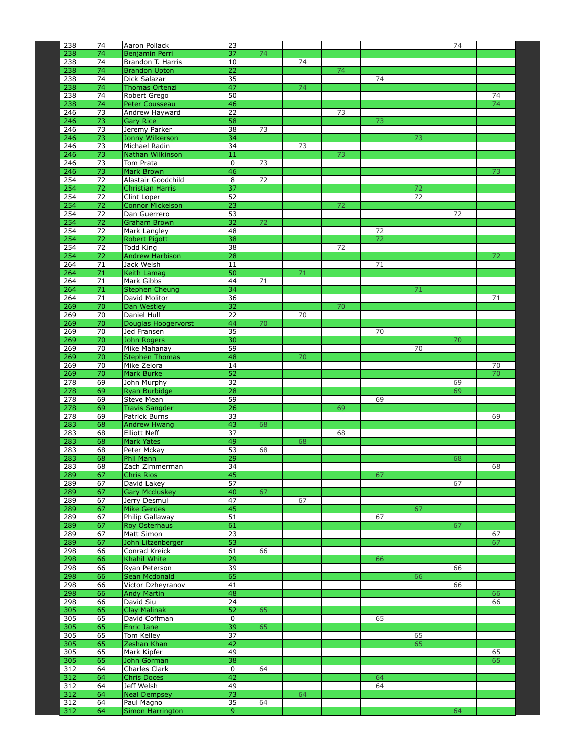| 238        | 74                    | Aaron Pollack                           | 23                    |    |    |    |    |    | 74 |          |
|------------|-----------------------|-----------------------------------------|-----------------------|----|----|----|----|----|----|----------|
| 238        | 74                    | Benjamin Perri                          | 37                    | 74 |    |    |    |    |    |          |
| 238        | 74                    | Brandon T. Harris                       | 10                    |    | 74 |    |    |    |    |          |
| 238        | 74                    | <b>Brandon Upton</b>                    | 22                    |    |    | 74 |    |    |    |          |
| 238        | 74                    | Dick Salazar                            | $\overline{35}$       |    |    |    | 74 |    |    |          |
| 238        | 74                    | Thomas Ortenzi                          | 47                    |    | 74 |    |    |    |    |          |
| 238<br>238 | 74<br>74              | Robert Grego                            | 50<br>46              |    |    |    |    |    |    | 74<br>74 |
| 246        | 73                    | <b>Peter Cousseau</b><br>Andrew Hayward | 22                    |    |    | 73 |    |    |    |          |
| 246        | 73                    | <b>Gary Rice</b>                        | 58                    |    |    |    | 73 |    |    |          |
| 246        | 73                    | Jeremy Parker                           | 38                    | 73 |    |    |    |    |    |          |
| 246        | 73                    | Jonny Wilkerson                         | 34                    |    |    |    |    | 73 |    |          |
| 246        | 73                    | Michael Radin                           | 34                    |    | 73 |    |    |    |    |          |
| 246        | 73                    | Nathan Wilkinson                        | 11                    |    |    | 73 |    |    |    |          |
| 246        | 73                    | Tom Prata                               | 0                     | 73 |    |    |    |    |    |          |
| 246        | $\overline{73}$       | <b>Mark Brown</b>                       | 46                    |    |    |    |    |    |    | 73       |
| 254        | $\overline{72}$       | Alastair Goodchild                      | 8                     | 72 |    |    |    |    |    |          |
| 254        | 72                    | <b>Christian Harris</b>                 | 37                    |    |    |    |    | 72 |    |          |
| 254        | 72<br>$\overline{72}$ | Clint Loper                             | 52                    |    |    |    |    | 72 |    |          |
| 254<br>254 | $\overline{72}$       | <b>Connor Mickelson</b><br>Dan Guerrero | $\overline{23}$<br>53 |    |    | 72 |    |    | 72 |          |
| 254        | $\overline{72}$       | <b>Graham Brown</b>                     | 32                    | 72 |    |    |    |    |    |          |
| 254        | 72                    | Mark Langley                            | 48                    |    |    |    | 72 |    |    |          |
| 254        | 72                    | Robert Pigott                           | 38                    |    |    |    | 72 |    |    |          |
| 254        | $\overline{72}$       | <b>Todd King</b>                        | 38                    |    |    | 72 |    |    |    |          |
| 254        | $\overline{72}$       | <b>Andrew Harbison</b>                  | 28                    |    |    |    |    |    |    | 72       |
| 264        | 71                    | Jack Welsh                              | 11                    |    |    |    | 71 |    |    |          |
| 264        | 71                    | Keith Lamag                             | 50                    |    | 71 |    |    |    |    |          |
| 264        | 71                    | Mark Gibbs                              | 44                    | 71 |    |    |    |    |    |          |
| 264        | $\overline{71}$       | <b>Stephen Cheung</b>                   | 34                    |    |    |    |    | 71 |    |          |
| 264        | 71                    | David Molitor                           | 36                    |    |    |    |    |    |    | 71       |
| 269        | 70                    | Dan Westley                             | 32                    |    |    | 70 |    |    |    |          |
| 269<br>269 | 70<br>70              | Daniel Hull<br>Douglas Hoogervorst      | 22<br>44              | 70 | 70 |    |    |    |    |          |
| 269        | 70                    | Jed Fransen                             | 35                    |    |    |    | 70 |    |    |          |
| 269        | 70                    | John Rogers                             | 30                    |    |    |    |    |    | 70 |          |
| 269        | 70                    | Mike Mahanay                            | 59                    |    |    |    |    | 70 |    |          |
| 269        | 70                    | <b>Stephen Thomas</b>                   | 48                    |    | 70 |    |    |    |    |          |
| 269        | 70                    | Mike Zelora                             | 14                    |    |    |    |    |    |    | 70       |
| 269        | 70                    | Mark Burke                              | 52                    |    |    |    |    |    |    | 70       |
| 278        | 69                    | John Murphy                             | 32                    |    |    |    |    |    | 69 |          |
| 278        | 69                    | Ryan Burbidge                           | 28                    |    |    |    |    |    | 69 |          |
| 278        | 69                    | Steve Mean                              | 59                    |    |    |    | 69 |    |    |          |
| 278        | 69                    | <b>Travis Sangder</b>                   | 26                    |    |    | 69 |    |    |    |          |
| 278<br>283 | 69<br>68              | Patrick Burns<br><b>Andrew Hwang</b>    | 33<br>43              | 68 |    |    |    |    |    | 69       |
| 283        | 68                    | <b>Elliott Neff</b>                     | 37                    |    |    | 68 |    |    |    |          |
| 283        | 68                    | <b>Mark Yates</b>                       | 49                    |    | 68 |    |    |    |    |          |
| 283        | 68                    | Peter Mckay                             | 53                    | 68 |    |    |    |    |    |          |
| 283        | 68                    | Phil Mann                               | 29                    |    |    |    |    |    | 68 |          |
| 283        | 68                    | Zach Zimmerman                          | 34                    |    |    |    |    |    |    | 68       |
| 289        | 67                    | Chris Rios                              | 45                    |    |    |    | 67 |    |    |          |
| 289        | 67                    | David Lakey                             | 57                    |    |    |    |    |    | 67 |          |
| 289        | 67                    | <b>Gary Mccluskey</b>                   | 40                    | 67 |    |    |    |    |    |          |
| 289        | 67                    | Jerry Desmul                            | 47                    |    | 67 |    |    |    |    |          |
| 289<br>289 | 67<br>67              | <b>Mike Gerdes</b>                      | 45<br>51              |    |    |    |    | 67 |    |          |
| 289        | 67                    | Philip Gallaway<br>Roy Osterhaus        | 61                    |    |    |    | 67 |    | 67 |          |
| 289        | 67                    | Matt Simon                              | $\overline{23}$       |    |    |    |    |    |    | 67       |
| 289        | 67                    | John Litzenberger                       | 53                    |    |    |    |    |    |    | 67       |
| 298        | 66                    | Conrad Kreick                           | 61                    | 66 |    |    |    |    |    |          |
| 298        | 66                    | <b>Khahil White</b>                     | 29                    |    |    |    | 66 |    |    |          |
| 298        | 66                    | Ryan Peterson                           | 39                    |    |    |    |    |    | 66 |          |
| 298        | 66                    | Sean Mcdonald                           | 65                    |    |    |    |    | 66 |    |          |
| 298        | 66                    | Victor Dzheyranov                       | 41                    |    |    |    |    |    | 66 |          |
| 298        | 66                    | <b>Andy Martin</b>                      | 48                    |    |    |    |    |    |    | 66       |
| 298        | 66<br>65              | David Siu                               | $\overline{24}$       | 65 |    |    |    |    |    | 66       |
| 305<br>305 | 65                    | <b>Clay Malinak</b><br>David Coffman    | 52<br>$\pmb{0}$       |    |    |    | 65 |    |    |          |
| 305        | 65                    | Enric Jane                              | 39                    | 65 |    |    |    |    |    |          |
| 305        | 65                    | Tom Kelley                              | $\overline{37}$       |    |    |    |    | 65 |    |          |
| 305        | 65                    | Zeshan Khan                             | 42                    |    |    |    |    | 65 |    |          |
| 305        | 65                    | Mark Kipfer                             | 49                    |    |    |    |    |    |    | 65       |
| 305        | 65                    | John Gorman                             | 38                    |    |    |    |    |    |    | 65       |
| 312        | 64                    | Charles Clark                           | 0                     | 64 |    |    |    |    |    |          |
| 312        | 64                    | <b>Chris Doces</b>                      | 42                    |    |    |    | 64 |    |    |          |
| 312        | 64                    | Jeff Welsh                              | 49                    |    |    |    | 64 |    |    |          |
| 312        | 64                    | <b>Neal Dempsey</b>                     | 73                    |    | 64 |    |    |    |    |          |
| 312        | 64                    | Paul Magno                              | 35                    | 64 |    |    |    |    |    |          |
| 312        | 64                    | Simon Harrington                        | 9                     |    |    |    |    |    | 64 |          |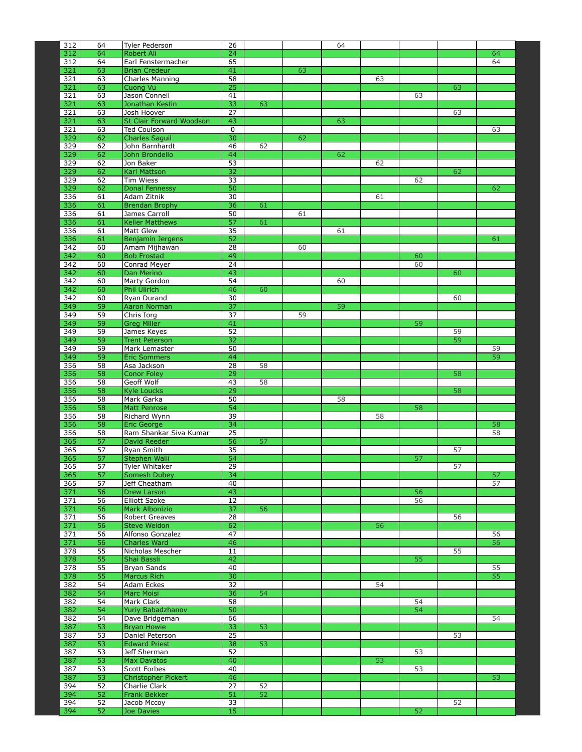| 312        | 64       | Tyler Pederson                          | 26              |          |    | 64 |    |    |    |          |
|------------|----------|-----------------------------------------|-----------------|----------|----|----|----|----|----|----------|
| 312        | 64       | <b>Robert Ali</b>                       | 24              |          |    |    |    |    |    | 64       |
| 312        | 64       | Earl Fenstermacher                      | 65              |          |    |    |    |    |    | 64       |
| 321        | 63       | <b>Brian Credeur</b>                    | 41              |          | 63 |    |    |    |    |          |
| 321<br>321 | 63<br>63 | Charles Manning<br>Cuong Vu             | 58<br>25        |          |    |    | 63 |    | 63 |          |
| 321        | 63       | Jason Connell                           | 41              |          |    |    |    | 63 |    |          |
| 321        | 63       | Jonathan Kestin                         | 33              | 63       |    |    |    |    |    |          |
| 321        | 63       | Josh Hoover                             | 27              |          |    |    |    |    | 63 |          |
| 321        | 63       | <b>St Clair Forward Woodson</b>         | 43              |          |    | 63 |    |    |    |          |
| 321        | 63       | Ted Coulson                             | 0               |          |    |    |    |    |    | 63       |
| 329        | 62       | <b>Charles Saguil</b>                   | 30              |          | 62 |    |    |    |    |          |
| 329<br>329 | 62<br>62 | John Barnhardt<br>John Brondello        | 46<br>44        | 62       |    | 62 |    |    |    |          |
| 329        | 62       | Jon Baker                               | 53              |          |    |    | 62 |    |    |          |
| 329        | 62       | Karl Mattson                            | 32              |          |    |    |    |    | 62 |          |
| 329        | 62       | Tim Wiess                               | 33              |          |    |    |    | 62 |    |          |
| 329        | 62       | <b>Donal Fennessy</b>                   | 50              |          |    |    |    |    |    | 62       |
| 336        | 61       | Adam Zitnik                             | 30              |          |    |    | 61 |    |    |          |
| 336        | 61<br>61 | <b>Brendan Brophy</b>                   | 36<br>50        | 61       |    |    |    |    |    |          |
| 336<br>336 | 61       | James Carroll<br><b>Keller Matthews</b> | 57              | 61       | 61 |    |    |    |    |          |
| 336        | 61       | Matt Glew                               | 35              |          |    | 61 |    |    |    |          |
| 336        | 61       | Benjamin Jergens                        | 52              |          |    |    |    |    |    | 61       |
| 342        | 60       | Amam Mijhawan                           | $\overline{28}$ |          | 60 |    |    |    |    |          |
| 342        | 60       | <b>Bob Frostad</b>                      | 49              |          |    |    |    | 60 |    |          |
| 342        | 60       | Conrad Meyer                            | 24              |          |    |    |    | 60 |    |          |
| 342        | 60       | Dan Merino                              | 43              |          |    |    |    |    | 60 |          |
| 342<br>342 | 60<br>60 | Marty Gordon<br>Phil Ullrich            | 54<br>46        | 60       |    | 60 |    |    |    |          |
| 342        | 60       | Ryan Durand                             | 30              |          |    |    |    |    | 60 |          |
| 349        | 59       | <b>Aaron Norman</b>                     | $\overline{37}$ |          |    | 59 |    |    |    |          |
| 349        | 59       | Chris Iorg                              | 37              |          | 59 |    |    |    |    |          |
| 349        | 59       | <b>Greg Miller</b>                      | 41              |          |    |    |    | 59 |    |          |
| 349        | 59       | James Keyes                             | 52              |          |    |    |    |    | 59 |          |
| 349        | 59       | <b>Trent Peterson</b>                   | 32              |          |    |    |    |    | 59 |          |
| 349<br>349 | 59<br>59 | Mark Lemaster<br><b>Eric Sommers</b>    | 50<br>44        |          |    |    |    |    |    | 59<br>59 |
| 356        | 58       | Asa Jackson                             | 28              | 58       |    |    |    |    |    |          |
| 356        | 58       | <b>Conor Foley</b>                      | 29              |          |    |    |    |    | 58 |          |
| 356        | 58       | Geoff Wolf                              | 43              | 58       |    |    |    |    |    |          |
| 356        | 58       | <b>Kyle Loucks</b>                      | 29              |          |    |    |    |    | 58 |          |
| 356        | 58       | Mark Garka                              | 50              |          |    | 58 |    |    |    |          |
| 356        | 58       | <b>Matt Penrose</b>                     | 54              |          |    |    |    | 58 |    |          |
| 356<br>356 | 58<br>58 | Richard Wynn<br>Eric George             | 39<br>34        |          |    |    | 58 |    |    | 58       |
| 356        | 58       | Ram Shankar Siva Kumar                  | 25              |          |    |    |    |    |    | 58       |
| 365        | 57       | David Reeder                            | 56              | 57       |    |    |    |    |    |          |
| 365        | 57       | Ryan Smith                              | 35              |          |    |    |    |    | 57 |          |
| 365        | 57       | Stephen Walli                           | 54              |          |    |    |    | 57 |    |          |
| 365        | 57       | <b>Tyler Whitaker</b>                   | 29              |          |    |    |    |    | 57 |          |
| 365        | 57       | <b>Somesh Dubey</b>                     | $\overline{34}$ |          |    |    |    |    |    | 57       |
| 365<br>371 | 57<br>56 | Jeff Cheatham<br>Drew Larson            | 40<br>43        |          |    |    |    | 56 |    | 57       |
| 371        | 56       | <b>Elliott Szoke</b>                    | 12              |          |    |    |    | 56 |    |          |
| 371        | 56       | Mark Albonizio                          | 37              | 56       |    |    |    |    |    |          |
| 371        | 56       | Robert Greaves                          | 28              |          |    |    |    |    | 56 |          |
| 371        | 56       | Steve Weldon                            | 62              |          |    |    | 56 |    |    |          |
| 371        | 56       | Alfonso Gonzalez                        | 47              |          |    |    |    |    |    | 56       |
| 371        | 56       | Charles Ward                            | 46              |          |    |    |    |    |    | 56       |
| 378<br>378 | 55<br>55 | Nicholas Mescher<br>Shai Bassli         | 11<br>42        |          |    |    |    | 55 | 55 |          |
| 378        | 55       | Bryan Sands                             | 40              |          |    |    |    |    |    | 55       |
| 378        | 55       | <b>Marcus Rich</b>                      | 30              |          |    |    |    |    |    | 55       |
| 382        | 54       | Adam Eckes                              | 32              |          |    |    | 54 |    |    |          |
| 382        | 54       | Marc Moisi                              | 36              | 54       |    |    |    |    |    |          |
| 382        | 54       | Mark Clark                              | 58              |          |    |    |    | 54 |    |          |
| 382        | 54       | Yuriy Babadzhanov                       | 50              |          |    |    |    | 54 |    |          |
| 382<br>387 | 54<br>53 | Dave Bridgeman<br><b>Bryan Howie</b>    | 66<br>33        | 53       |    |    |    |    |    | 54       |
| 387        | 53       | Daniel Peterson                         | 25              |          |    |    |    |    | 53 |          |
| 387        | 53       | <b>Edward Priest</b>                    | 38              | 53       |    |    |    |    |    |          |
| 387        | 53       | Jeff Sherman                            | 52              |          |    |    |    | 53 |    |          |
| 387        | 53       | Max Davatos                             | 40              |          |    |    | 53 |    |    |          |
| 387        | 53       | Scott Forbes                            | 40              |          |    |    |    | 53 |    |          |
| 387        | 53       | <b>Christopher Pickert</b>              | 46              |          |    |    |    |    |    | 53       |
| 394        | 52<br>52 | Charlie Clark                           | 27<br>51        | 52<br>52 |    |    |    |    |    |          |
| 394<br>394 | 52       | <b>Frank Bekker</b><br>Jacob Mccoy      | 33              |          |    |    |    |    | 52 |          |
| 394        | 52       | Joe Davies                              | 15              |          |    |    |    | 52 |    |          |
|            |          |                                         |                 |          |    |    |    |    |    |          |